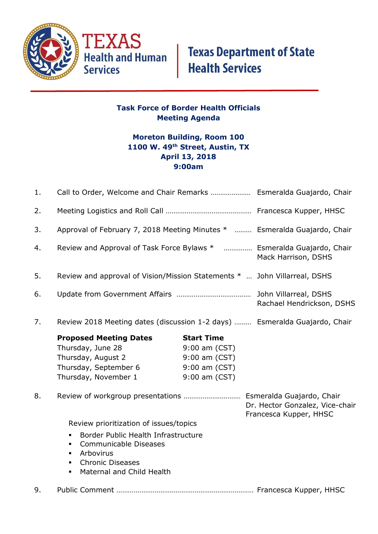

# **Texas Department of State<br>Health Services**

#### **Task Force of Border Health Officials Meeting Agenda**

### **Moreton Building, Room 100 1100 W. 49th Street, Austin, TX April 13, 2018 9:00am**

| 1. |                                                                                                                                                                                                                                                                 |                                                                                       |                                                           |
|----|-----------------------------------------------------------------------------------------------------------------------------------------------------------------------------------------------------------------------------------------------------------------|---------------------------------------------------------------------------------------|-----------------------------------------------------------|
| 2. |                                                                                                                                                                                                                                                                 |                                                                                       |                                                           |
| 3. | Approval of February 7, 2018 Meeting Minutes *  Esmeralda Guajardo, Chair                                                                                                                                                                                       |                                                                                       |                                                           |
| 4. | Review and Approval of Task Force Bylaws *  Esmeralda Guajardo, Chair                                                                                                                                                                                           |                                                                                       | Mack Harrison, DSHS                                       |
| 5. | Review and approval of Vision/Mission Statements *  John Villarreal, DSHS                                                                                                                                                                                       |                                                                                       |                                                           |
| 6. |                                                                                                                                                                                                                                                                 |                                                                                       | Rachael Hendrickson, DSHS                                 |
| 7. | Review 2018 Meeting dates (discussion 1-2 days)  Esmeralda Guajardo, Chair                                                                                                                                                                                      |                                                                                       |                                                           |
|    | <b>Proposed Meeting Dates</b><br>Thursday, June 28<br>Thursday, August 2<br>Thursday, September 6<br>Thursday, November 1                                                                                                                                       | <b>Start Time</b><br>9:00 am (CST)<br>9:00 am (CST)<br>9:00 am (CST)<br>9:00 am (CST) |                                                           |
| 8. |                                                                                                                                                                                                                                                                 |                                                                                       | Dr. Hector Gonzalez, Vice-chair<br>Francesca Kupper, HHSC |
|    | Review prioritization of issues/topics<br>Border Public Health Infrastructure<br>$\blacksquare$<br><b>Communicable Diseases</b><br>$\blacksquare$<br>Arbovirus<br>٠<br><b>Chronic Diseases</b><br>$\blacksquare$<br>Maternal and Child Health<br>$\blacksquare$ |                                                                                       |                                                           |
| 9. |                                                                                                                                                                                                                                                                 |                                                                                       |                                                           |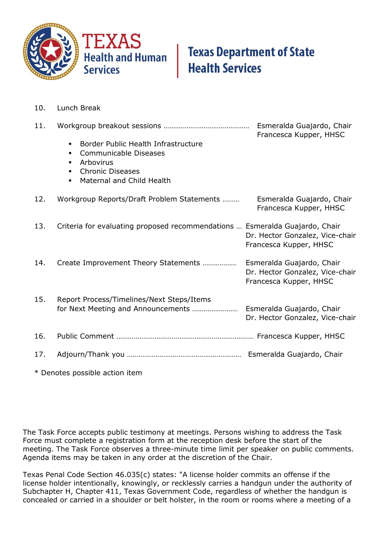

## **Texas Department of State Health Services**

10. Lunch Break

| 11. | Border Public Health Infrastructure<br>$\blacksquare$<br><b>Communicable Diseases</b><br>٠<br>Arbovirus<br>٠<br><b>Chronic Diseases</b><br>$\blacksquare$<br>Maternal and Child Health | Esmeralda Guajardo, Chair<br>Francesca Kupper, HHSC       |
|-----|----------------------------------------------------------------------------------------------------------------------------------------------------------------------------------------|-----------------------------------------------------------|
| 12. | Workgroup Reports/Draft Problem Statements                                                                                                                                             | Esmeralda Guajardo, Chair<br>Francesca Kupper, HHSC       |
| 13. | Criteria for evaluating proposed recommendations  Esmeralda Guajardo, Chair                                                                                                            | Dr. Hector Gonzalez, Vice-chair<br>Francesca Kupper, HHSC |
| 14. |                                                                                                                                                                                        | Dr. Hector Gonzalez, Vice-chair<br>Francesca Kupper, HHSC |
| 15. | Report Process/Timelines/Next Steps/Items                                                                                                                                              | Dr. Hector Gonzalez, Vice-chair                           |
| 16. |                                                                                                                                                                                        |                                                           |
| 17. |                                                                                                                                                                                        |                                                           |

\* Denotes possible action item

The Task Force accepts public testimony at meetings. Persons wishing to address the Task Force must complete a registration form at the reception desk before the start of the meeting. The Task Force observes a three-minute time limit per speaker on public comments. Agenda items may be taken in any order at the discretion of the Chair.

Texas Penal Code Section 46.035(c) states: "A license holder commits an offense if the license holder intentionally, knowingly, or recklessly carries a handgun under the authority of Subchapter H, Chapter 411, Texas Government Code, regardless of whether the handgun is concealed or carried in a shoulder or belt holster, in the room or rooms where a meeting of a